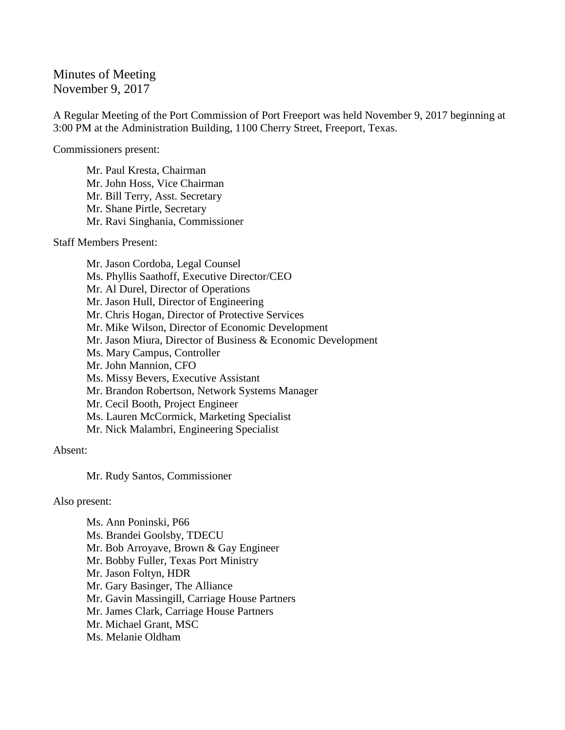## Minutes of Meeting November 9, 2017

A Regular Meeting of the Port Commission of Port Freeport was held November 9, 2017 beginning at 3:00 PM at the Administration Building, 1100 Cherry Street, Freeport, Texas.

Commissioners present:

Mr. Paul Kresta, Chairman Mr. John Hoss, Vice Chairman Mr. Bill Terry, Asst. Secretary Mr. Shane Pirtle, Secretary Mr. Ravi Singhania, Commissioner

## Staff Members Present:

Mr. Jason Cordoba, Legal Counsel Ms. Phyllis Saathoff, Executive Director/CEO Mr. Al Durel, Director of Operations Mr. Jason Hull, Director of Engineering Mr. Chris Hogan, Director of Protective Services Mr. Mike Wilson, Director of Economic Development Mr. Jason Miura, Director of Business & Economic Development Ms. Mary Campus, Controller Mr. John Mannion, CFO Ms. Missy Bevers, Executive Assistant Mr. Brandon Robertson, Network Systems Manager Mr. Cecil Booth, Project Engineer Ms. Lauren McCormick, Marketing Specialist Mr. Nick Malambri, Engineering Specialist

## Absent:

Mr. Rudy Santos, Commissioner

## Also present:

Ms. Ann Poninski, P66 Ms. Brandei Goolsby, TDECU Mr. Bob Arroyave, Brown & Gay Engineer Mr. Bobby Fuller, Texas Port Ministry Mr. Jason Foltyn, HDR Mr. Gary Basinger, The Alliance Mr. Gavin Massingill, Carriage House Partners Mr. James Clark, Carriage House Partners Mr. Michael Grant, MSC Ms. Melanie Oldham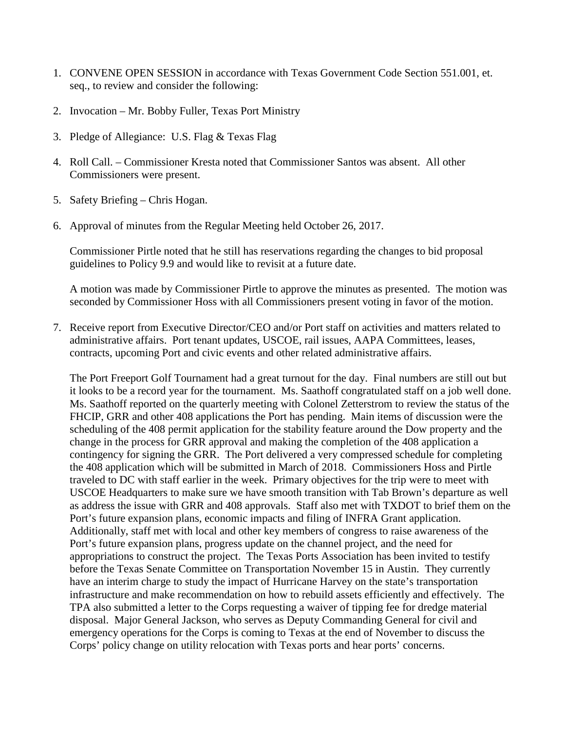- 1. CONVENE OPEN SESSION in accordance with Texas Government Code Section 551.001, et. seq., to review and consider the following:
- 2. Invocation Mr. Bobby Fuller, Texas Port Ministry
- 3. Pledge of Allegiance: U.S. Flag & Texas Flag
- 4. Roll Call. Commissioner Kresta noted that Commissioner Santos was absent. All other Commissioners were present.
- 5. Safety Briefing Chris Hogan.
- 6. Approval of minutes from the Regular Meeting held October 26, 2017.

Commissioner Pirtle noted that he still has reservations regarding the changes to bid proposal guidelines to Policy 9.9 and would like to revisit at a future date.

A motion was made by Commissioner Pirtle to approve the minutes as presented. The motion was seconded by Commissioner Hoss with all Commissioners present voting in favor of the motion.

7. Receive report from Executive Director/CEO and/or Port staff on activities and matters related to administrative affairs. Port tenant updates, USCOE, rail issues, AAPA Committees, leases, contracts, upcoming Port and civic events and other related administrative affairs.

The Port Freeport Golf Tournament had a great turnout for the day. Final numbers are still out but it looks to be a record year for the tournament. Ms. Saathoff congratulated staff on a job well done. Ms. Saathoff reported on the quarterly meeting with Colonel Zetterstrom to review the status of the FHCIP, GRR and other 408 applications the Port has pending. Main items of discussion were the scheduling of the 408 permit application for the stability feature around the Dow property and the change in the process for GRR approval and making the completion of the 408 application a contingency for signing the GRR. The Port delivered a very compressed schedule for completing the 408 application which will be submitted in March of 2018. Commissioners Hoss and Pirtle traveled to DC with staff earlier in the week. Primary objectives for the trip were to meet with USCOE Headquarters to make sure we have smooth transition with Tab Brown's departure as well as address the issue with GRR and 408 approvals. Staff also met with TXDOT to brief them on the Port's future expansion plans, economic impacts and filing of INFRA Grant application. Additionally, staff met with local and other key members of congress to raise awareness of the Port's future expansion plans, progress update on the channel project, and the need for appropriations to construct the project. The Texas Ports Association has been invited to testify before the Texas Senate Committee on Transportation November 15 in Austin. They currently have an interim charge to study the impact of Hurricane Harvey on the state's transportation infrastructure and make recommendation on how to rebuild assets efficiently and effectively. The TPA also submitted a letter to the Corps requesting a waiver of tipping fee for dredge material disposal. Major General Jackson, who serves as Deputy Commanding General for civil and emergency operations for the Corps is coming to Texas at the end of November to discuss the Corps' policy change on utility relocation with Texas ports and hear ports' concerns.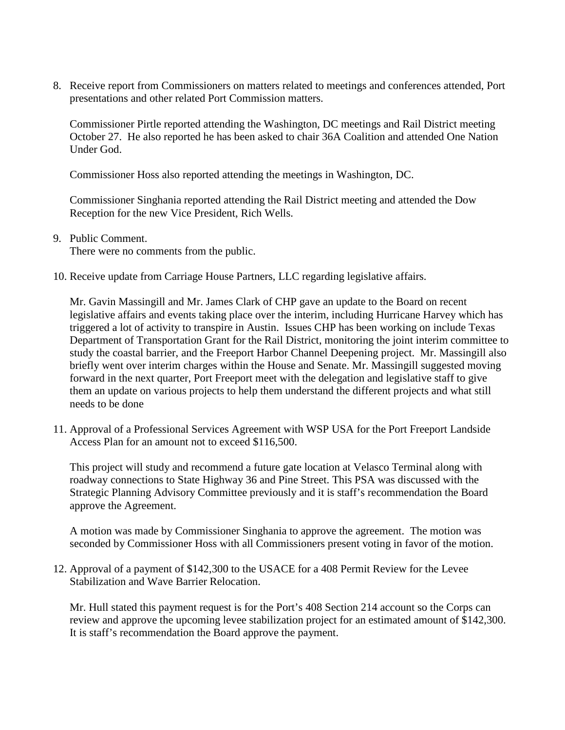8. Receive report from Commissioners on matters related to meetings and conferences attended, Port presentations and other related Port Commission matters.

Commissioner Pirtle reported attending the Washington, DC meetings and Rail District meeting October 27. He also reported he has been asked to chair 36A Coalition and attended One Nation Under God.

Commissioner Hoss also reported attending the meetings in Washington, DC.

Commissioner Singhania reported attending the Rail District meeting and attended the Dow Reception for the new Vice President, Rich Wells.

9. Public Comment.

There were no comments from the public.

10. Receive update from Carriage House Partners, LLC regarding legislative affairs.

Mr. Gavin Massingill and Mr. James Clark of CHP gave an update to the Board on recent legislative affairs and events taking place over the interim, including Hurricane Harvey which has triggered a lot of activity to transpire in Austin. Issues CHP has been working on include Texas Department of Transportation Grant for the Rail District, monitoring the joint interim committee to study the coastal barrier, and the Freeport Harbor Channel Deepening project. Mr. Massingill also briefly went over interim charges within the House and Senate. Mr. Massingill suggested moving forward in the next quarter, Port Freeport meet with the delegation and legislative staff to give them an update on various projects to help them understand the different projects and what still needs to be done

11. Approval of a Professional Services Agreement with WSP USA for the Port Freeport Landside Access Plan for an amount not to exceed \$116,500.

This project will study and recommend a future gate location at Velasco Terminal along with roadway connections to State Highway 36 and Pine Street. This PSA was discussed with the Strategic Planning Advisory Committee previously and it is staff's recommendation the Board approve the Agreement.

A motion was made by Commissioner Singhania to approve the agreement. The motion was seconded by Commissioner Hoss with all Commissioners present voting in favor of the motion.

12. Approval of a payment of \$142,300 to the USACE for a 408 Permit Review for the Levee Stabilization and Wave Barrier Relocation.

Mr. Hull stated this payment request is for the Port's 408 Section 214 account so the Corps can review and approve the upcoming levee stabilization project for an estimated amount of \$142,300. It is staff's recommendation the Board approve the payment.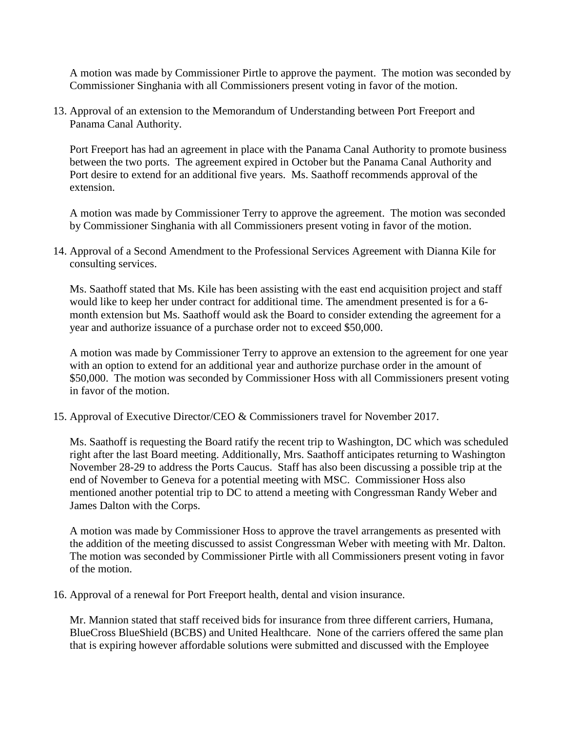A motion was made by Commissioner Pirtle to approve the payment. The motion was seconded by Commissioner Singhania with all Commissioners present voting in favor of the motion.

13. Approval of an extension to the Memorandum of Understanding between Port Freeport and Panama Canal Authority.

Port Freeport has had an agreement in place with the Panama Canal Authority to promote business between the two ports. The agreement expired in October but the Panama Canal Authority and Port desire to extend for an additional five years. Ms. Saathoff recommends approval of the extension.

A motion was made by Commissioner Terry to approve the agreement. The motion was seconded by Commissioner Singhania with all Commissioners present voting in favor of the motion.

14. Approval of a Second Amendment to the Professional Services Agreement with Dianna Kile for consulting services.

Ms. Saathoff stated that Ms. Kile has been assisting with the east end acquisition project and staff would like to keep her under contract for additional time. The amendment presented is for a 6 month extension but Ms. Saathoff would ask the Board to consider extending the agreement for a year and authorize issuance of a purchase order not to exceed \$50,000.

A motion was made by Commissioner Terry to approve an extension to the agreement for one year with an option to extend for an additional year and authorize purchase order in the amount of \$50,000. The motion was seconded by Commissioner Hoss with all Commissioners present voting in favor of the motion.

15. Approval of Executive Director/CEO & Commissioners travel for November 2017.

Ms. Saathoff is requesting the Board ratify the recent trip to Washington, DC which was scheduled right after the last Board meeting. Additionally, Mrs. Saathoff anticipates returning to Washington November 28-29 to address the Ports Caucus. Staff has also been discussing a possible trip at the end of November to Geneva for a potential meeting with MSC. Commissioner Hoss also mentioned another potential trip to DC to attend a meeting with Congressman Randy Weber and James Dalton with the Corps.

A motion was made by Commissioner Hoss to approve the travel arrangements as presented with the addition of the meeting discussed to assist Congressman Weber with meeting with Mr. Dalton. The motion was seconded by Commissioner Pirtle with all Commissioners present voting in favor of the motion.

16. Approval of a renewal for Port Freeport health, dental and vision insurance.

Mr. Mannion stated that staff received bids for insurance from three different carriers, Humana, BlueCross BlueShield (BCBS) and United Healthcare. None of the carriers offered the same plan that is expiring however affordable solutions were submitted and discussed with the Employee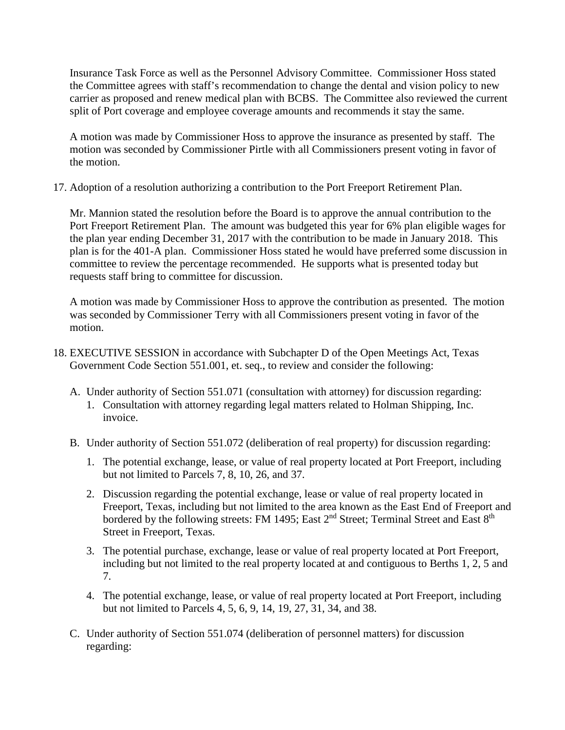Insurance Task Force as well as the Personnel Advisory Committee. Commissioner Hoss stated the Committee agrees with staff's recommendation to change the dental and vision policy to new carrier as proposed and renew medical plan with BCBS. The Committee also reviewed the current split of Port coverage and employee coverage amounts and recommends it stay the same.

A motion was made by Commissioner Hoss to approve the insurance as presented by staff. The motion was seconded by Commissioner Pirtle with all Commissioners present voting in favor of the motion.

17. Adoption of a resolution authorizing a contribution to the Port Freeport Retirement Plan.

Mr. Mannion stated the resolution before the Board is to approve the annual contribution to the Port Freeport Retirement Plan. The amount was budgeted this year for 6% plan eligible wages for the plan year ending December 31, 2017 with the contribution to be made in January 2018. This plan is for the 401-A plan. Commissioner Hoss stated he would have preferred some discussion in committee to review the percentage recommended. He supports what is presented today but requests staff bring to committee for discussion.

A motion was made by Commissioner Hoss to approve the contribution as presented. The motion was seconded by Commissioner Terry with all Commissioners present voting in favor of the motion.

- 18. EXECUTIVE SESSION in accordance with Subchapter D of the Open Meetings Act, Texas Government Code Section 551.001, et. seq., to review and consider the following:
	- A. Under authority of Section 551.071 (consultation with attorney) for discussion regarding:
		- 1. Consultation with attorney regarding legal matters related to Holman Shipping, Inc. invoice.
	- B. Under authority of Section 551.072 (deliberation of real property) for discussion regarding:
		- 1. The potential exchange, lease, or value of real property located at Port Freeport, including but not limited to Parcels 7, 8, 10, 26, and 37.
		- 2. Discussion regarding the potential exchange, lease or value of real property located in Freeport, Texas, including but not limited to the area known as the East End of Freeport and bordered by the following streets: FM 1495; East 2<sup>nd</sup> Street; Terminal Street and East 8<sup>th</sup> Street in Freeport, Texas.
		- 3. The potential purchase, exchange, lease or value of real property located at Port Freeport, including but not limited to the real property located at and contiguous to Berths 1, 2, 5 and 7.
		- 4. The potential exchange, lease, or value of real property located at Port Freeport, including but not limited to Parcels 4, 5, 6, 9, 14, 19, 27, 31, 34, and 38.
	- C. Under authority of Section 551.074 (deliberation of personnel matters) for discussion regarding: